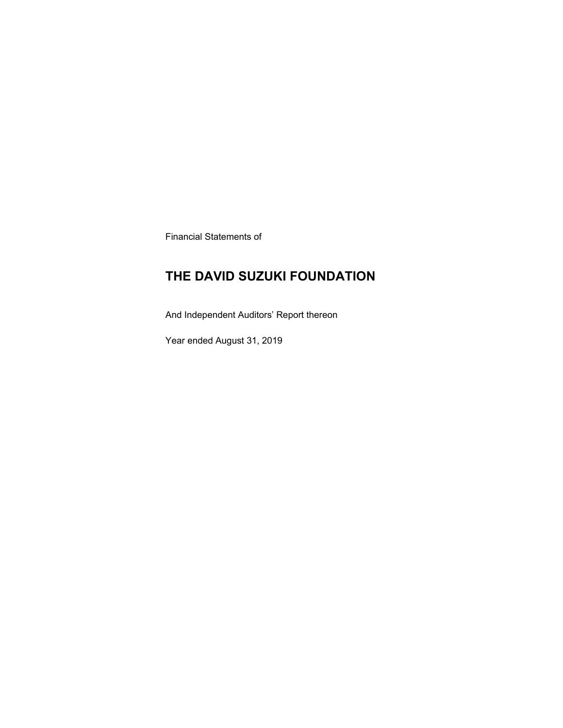Financial Statements of

### **THE DAVID SUZUKI FOUNDATION**

And Independent Auditors' Report thereon

Year ended August 31, 2019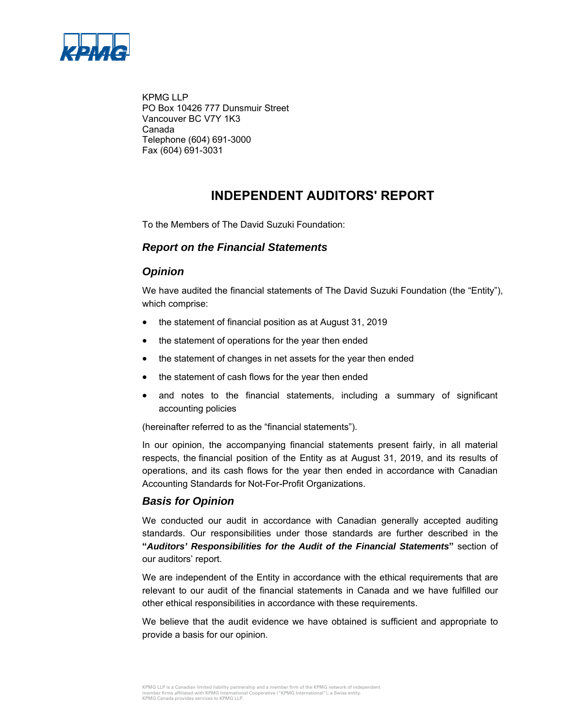

KPMG LLP PO Box 10426 777 Dunsmuir Street Vancouver BC V7Y 1K3 Canada Telephone (604) 691-3000 Fax (604) 691-3031

### **INDEPENDENT AUDITORS' REPORT**

To the Members of The David Suzuki Foundation:

### *Report on the Financial Statements*

### *Opinion*

We have audited the financial statements of The David Suzuki Foundation (the "Entity"), which comprise:

- the statement of financial position as at August 31, 2019
- the statement of operations for the year then ended
- the statement of changes in net assets for the year then ended
- the statement of cash flows for the year then ended
- and notes to the financial statements, including a summary of significant accounting policies

(hereinafter referred to as the "financial statements").

In our opinion, the accompanying financial statements present fairly, in all material respects, the financial position of the Entity as at August 31, 2019, and its results of operations, and its cash flows for the year then ended in accordance with Canadian Accounting Standards for Not-For-Profit Organizations.

### *Basis for Opinion*

We conducted our audit in accordance with Canadian generally accepted auditing standards. Our responsibilities under those standards are further described in the **"***Auditors' Responsibilities for the Audit of the Financial Statements***"** section of our auditors' report.

We are independent of the Entity in accordance with the ethical requirements that are relevant to our audit of the financial statements in Canada and we have fulfilled our other ethical responsibilities in accordance with these requirements.

We believe that the audit evidence we have obtained is sufficient and appropriate to provide a basis for our opinion.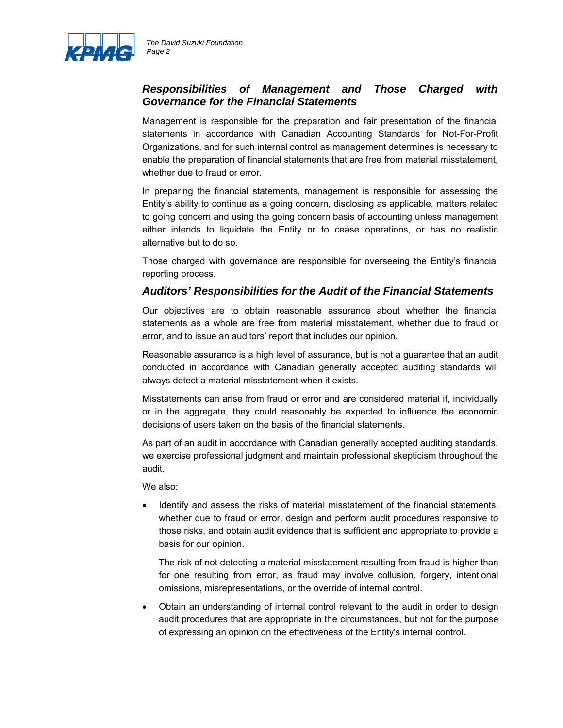

### *Responsibilities of Management and Those Charged with Governance for the Financial Statements*

Management is responsible for the preparation and fair presentation of the financial statements in accordance with Canadian Accounting Standards for Not-For-Profit Organizations, and for such internal control as management determines is necessary to enable the preparation of financial statements that are free from material misstatement, whether due to fraud or error.

In preparing the financial statements, management is responsible for assessing the Entity's ability to continue as a going concern, disclosing as applicable, matters related to going concern and using the going concern basis of accounting unless management either intends to liquidate the Entity or to cease operations, or has no realistic alternative but to do so.

Those charged with governance are responsible for overseeing the Entity's financial reporting process.

### *Auditors' Responsibilities for the Audit of the Financial Statements*

Our objectives are to obtain reasonable assurance about whether the financial statements as a whole are free from material misstatement, whether due to fraud or error, and to issue an auditors' report that includes our opinion.

Reasonable assurance is a high level of assurance, but is not a guarantee that an audit conducted in accordance with Canadian generally accepted auditing standards will always detect a material misstatement when it exists.

Misstatements can arise from fraud or error and are considered material if, individually or in the aggregate, they could reasonably be expected to influence the economic decisions of users taken on the basis of the financial statements.

As part of an audit in accordance with Canadian generally accepted auditing standards, we exercise professional judgment and maintain professional skepticism throughout the audit.

We also:

 Identify and assess the risks of material misstatement of the financial statements, whether due to fraud or error, design and perform audit procedures responsive to those risks, and obtain audit evidence that is sufficient and appropriate to provide a basis for our opinion.

The risk of not detecting a material misstatement resulting from fraud is higher than for one resulting from error, as fraud may involve collusion, forgery, intentional omissions, misrepresentations, or the override of internal control.

 Obtain an understanding of internal control relevant to the audit in order to design audit procedures that are appropriate in the circumstances, but not for the purpose of expressing an opinion on the effectiveness of the Entity's internal control.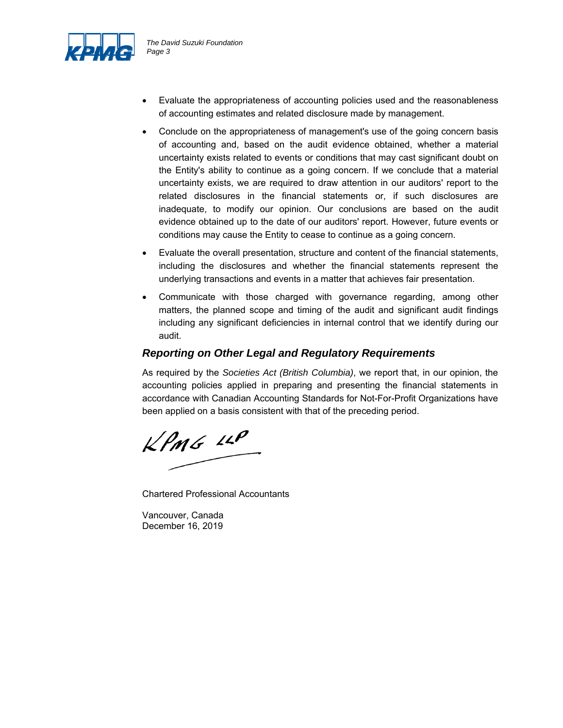

- Evaluate the appropriateness of accounting policies used and the reasonableness of accounting estimates and related disclosure made by management.
- Conclude on the appropriateness of management's use of the going concern basis of accounting and, based on the audit evidence obtained, whether a material uncertainty exists related to events or conditions that may cast significant doubt on the Entity's ability to continue as a going concern. If we conclude that a material uncertainty exists, we are required to draw attention in our auditors' report to the related disclosures in the financial statements or, if such disclosures are inadequate, to modify our opinion. Our conclusions are based on the audit evidence obtained up to the date of our auditors' report. However, future events or conditions may cause the Entity to cease to continue as a going concern.
- Evaluate the overall presentation, structure and content of the financial statements, including the disclosures and whether the financial statements represent the underlying transactions and events in a matter that achieves fair presentation.
- Communicate with those charged with governance regarding, among other matters, the planned scope and timing of the audit and significant audit findings including any significant deficiencies in internal control that we identify during our audit.

### *Reporting on Other Legal and Regulatory Requirements*

As required by the *Societies Act (British Columbia)*, we report that, in our opinion, the accounting policies applied in preparing and presenting the financial statements in accordance with Canadian Accounting Standards for Not-For-Profit Organizations have been applied on a basis consistent with that of the preceding period.

 $KPMG$  11P

Chartered Professional Accountants

Vancouver, Canada December 16, 2019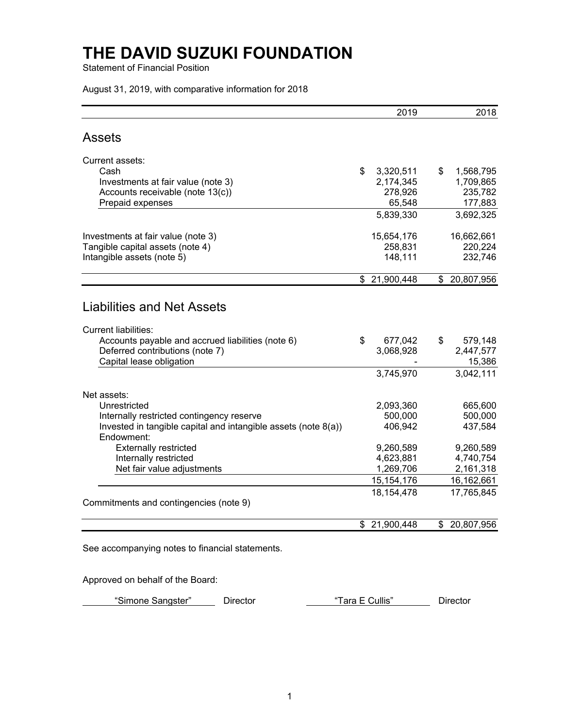Statement of Financial Position

August 31, 2019, with comparative information for 2018

|                                                                                                                       | 2019            | 2018                |
|-----------------------------------------------------------------------------------------------------------------------|-----------------|---------------------|
| <b>Assets</b>                                                                                                         |                 |                     |
| Current assets:                                                                                                       |                 |                     |
| Cash                                                                                                                  | \$<br>3,320,511 | \$<br>1,568,795     |
| Investments at fair value (note 3)                                                                                    | 2,174,345       | 1,709,865           |
| Accounts receivable (note 13(c))                                                                                      | 278,926         | 235,782             |
| Prepaid expenses                                                                                                      | 65,548          | 177,883             |
|                                                                                                                       | 5,839,330       | 3,692,325           |
| Investments at fair value (note 3)                                                                                    | 15,654,176      | 16,662,661          |
| Tangible capital assets (note 4)                                                                                      | 258,831         | 220,224             |
| Intangible assets (note 5)                                                                                            | 148,111         | 232,746             |
|                                                                                                                       | \$21,900,448    | \$20,807,956        |
| <b>Liabilities and Net Assets</b><br><b>Current liabilities:</b><br>Accounts payable and accrued liabilities (note 6) | \$<br>677,042   | \$<br>579,148       |
| Deferred contributions (note 7)<br>Capital lease obligation                                                           | 3,068,928       | 2,447,577<br>15,386 |
|                                                                                                                       | 3,745,970       | 3,042,111           |
| Net assets:                                                                                                           |                 |                     |
| Unrestricted                                                                                                          | 2,093,360       | 665,600             |
| Internally restricted contingency reserve                                                                             | 500,000         | 500,000             |
| Invested in tangible capital and intangible assets (note 8(a))<br>Endowment:                                          | 406,942         | 437,584             |
| <b>Externally restricted</b>                                                                                          | 9,260,589       | 9,260,589           |
| Internally restricted                                                                                                 | 4,623,881       | 4,740,754           |
| Net fair value adjustments                                                                                            | 1,269,706       | 2,161,318           |
|                                                                                                                       | 15, 154, 176    | 16,162,661          |
|                                                                                                                       | 18, 154, 478    | 17,765,845          |
| Commitments and contingencies (note 9)                                                                                |                 |                     |
|                                                                                                                       | \$21,900,448    | \$ 20,807,956       |

See accompanying notes to financial statements.

Approved on behalf of the Board:

"Simone Sangster" Director Tara E Cullis" Director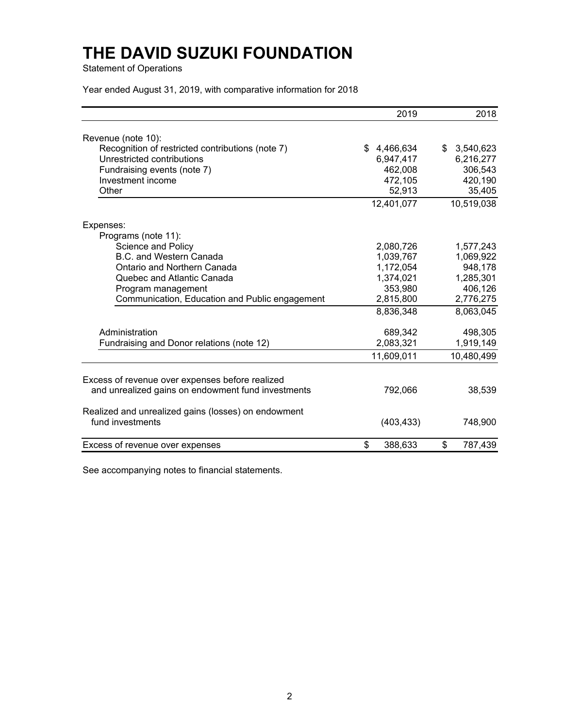Statement of Operations

Year ended August 31, 2019, with comparative information for 2018

|                                                     | 2019          | 2018          |
|-----------------------------------------------------|---------------|---------------|
| Revenue (note 10):                                  |               |               |
| Recognition of restricted contributions (note 7)    | \$4,466,634   | \$3,540,623   |
| Unrestricted contributions                          | 6,947,417     | 6,216,277     |
| Fundraising events (note 7)                         | 462,008       | 306,543       |
| Investment income                                   | 472,105       | 420,190       |
| Other                                               | 52,913        | 35,405        |
|                                                     | 12,401,077    | 10,519,038    |
| Expenses:                                           |               |               |
| Programs (note 11):                                 |               |               |
| Science and Policy                                  | 2,080,726     | 1,577,243     |
| B.C. and Western Canada                             | 1,039,767     | 1,069,922     |
| Ontario and Northern Canada                         | 1,172,054     | 948,178       |
| Quebec and Atlantic Canada                          | 1,374,021     | 1,285,301     |
| Program management                                  | 353,980       | 406,126       |
| Communication, Education and Public engagement      | 2,815,800     | 2,776,275     |
|                                                     | 8,836,348     | 8,063,045     |
| Administration                                      | 689,342       | 498,305       |
| Fundraising and Donor relations (note 12)           | 2,083,321     | 1,919,149     |
|                                                     | 11,609,011    | 10,480,499    |
| Excess of revenue over expenses before realized     |               |               |
| and unrealized gains on endowment fund investments  | 792,066       | 38,539        |
| Realized and unrealized gains (losses) on endowment |               |               |
| fund investments                                    | (403, 433)    | 748,900       |
| Excess of revenue over expenses                     | \$<br>388,633 | \$<br>787,439 |

See accompanying notes to financial statements.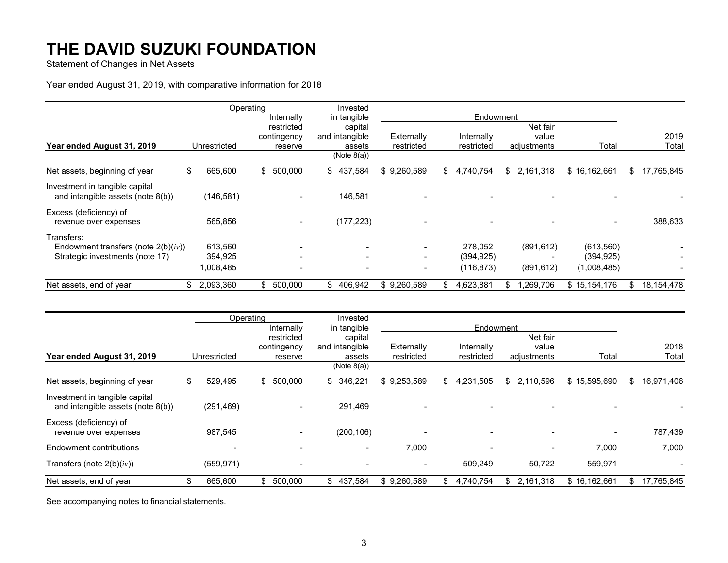Statement of Changes in Net Assets

### Year ended August 31, 2019, with comparative information for 2018

|                                                                     |               | Operating |                | Invested       |             |                          |     |             |             |              |    |            |
|---------------------------------------------------------------------|---------------|-----------|----------------|----------------|-------------|--------------------------|-----|-------------|-------------|--------------|----|------------|
|                                                                     |               |           | Internally     | in tangible    |             |                          |     | Endowment   |             |              |    |            |
|                                                                     |               |           | restricted     | capital        |             |                          |     |             | Net fair    |              |    |            |
|                                                                     |               |           | contingency    | and intangible | Externally  |                          |     | Internally  | value       |              |    | 2019       |
| Year ended August 31, 2019                                          | Unrestricted  |           | reserve        | assets         | restricted  |                          |     | restricted  | adjustments | Total        |    | Total      |
|                                                                     |               |           |                | (Note 8(a))    |             |                          |     |             |             |              |    |            |
| Net assets, beginning of year                                       | \$<br>665,600 | \$        | 500,000        | \$<br>437,584  | \$9,260,589 |                          |     | \$4,740,754 | \$2,161,318 | \$16,162,661 | S  | 17,765,845 |
| Investment in tangible capital<br>and intangible assets (note 8(b)) | (146, 581)    |           |                | 146,581        |             |                          |     |             |             |              |    |            |
| Excess (deficiency) of<br>revenue over expenses                     | 565,856       |           | $\blacksquare$ | (177, 223)     |             | $\overline{\phantom{a}}$ |     |             |             |              |    | 388,633    |
| Transfers:                                                          |               |           |                |                |             |                          |     |             |             |              |    |            |
| Endowment transfers (note $2(b)(iv)$ )                              | 613,560       |           |                |                |             | $\overline{\phantom{a}}$ |     | 278,052     | (891, 612)  | (613,560)    |    |            |
| Strategic investments (note 17)                                     | 394,925       |           |                |                |             | $\blacksquare$           |     | (394,925)   |             | (394, 925)   |    |            |
|                                                                     | 1,008,485     |           |                |                |             | $\blacksquare$           |     | (116, 873)  | (891, 612)  | (1,008,485)  |    |            |
| Net assets, end of year                                             | 2,093,360     | \$        | 500,000        | \$<br>406,942  | \$9,260,589 |                          | \$. | 4,623,881   | ,269,706    | \$15,154,176 | \$ | 18,154,478 |

|                                                                     |               | Operating     | Invested       |                          |                 |     |             |              |                  |
|---------------------------------------------------------------------|---------------|---------------|----------------|--------------------------|-----------------|-----|-------------|--------------|------------------|
|                                                                     |               | Internally    | in tangible    |                          | Endowment       |     |             |              |                  |
|                                                                     |               | restricted    | capital        |                          |                 |     | Net fair    |              |                  |
|                                                                     |               | contingency   | and intangible | Externally               | Internally      |     | value       |              | 2018             |
| Year ended August 31, 2019                                          | Unrestricted  | reserve       | assets         | restricted               | restricted      |     | adjustments | Total        | Total            |
|                                                                     |               |               | (Note 8(a))    |                          |                 |     |             |              |                  |
| Net assets, beginning of year                                       | \$<br>529,495 | \$500,000     | 346,221<br>\$  | \$9,253,589              | \$<br>4,231,505 |     | \$2,110,596 | \$15,595,690 | \$<br>16,971,406 |
| Investment in tangible capital<br>and intangible assets (note 8(b)) | (291, 469)    |               | 291,469        |                          |                 |     |             |              |                  |
| Excess (deficiency) of<br>revenue over expenses                     | 987,545       |               | (200, 106)     | $\overline{\phantom{a}}$ |                 |     |             |              | 787,439          |
| Endowment contributions                                             |               |               | $\blacksquare$ | 7,000                    |                 |     |             | 7,000        | 7,000            |
| Transfers (note $2(b)(iv)$ )                                        | (559, 971)    |               |                | $\overline{\phantom{a}}$ | 509.249         |     | 50,722      | 559,971      |                  |
| Net assets, end of year                                             | 665,600       | 500,000<br>\$ | 437,584<br>\$  | \$9,260,589              | \$<br>4.740.754 | \$. | 2,161,318   | \$16,162,661 | \$<br>17,765,845 |

See accompanying notes to financial statements.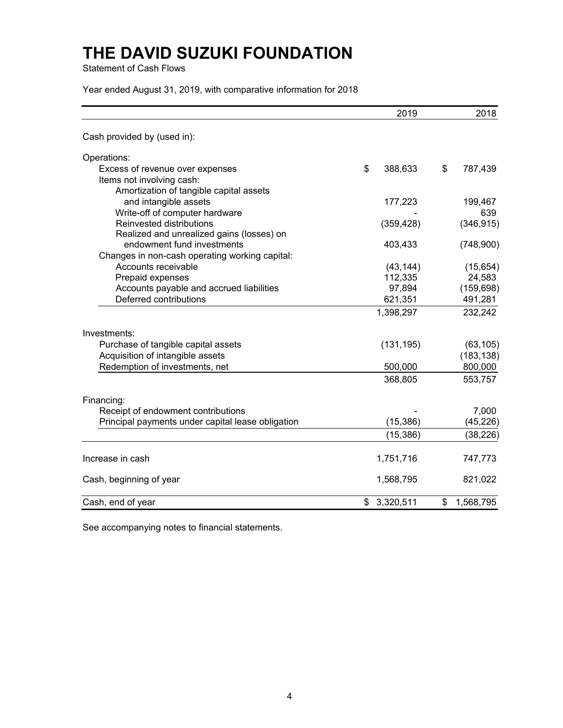Statement of Cash Flows

Year ended August 31, 2019, with comparative information for 2018

|                                                   | 2019            | 2018            |
|---------------------------------------------------|-----------------|-----------------|
| Cash provided by (used in):                       |                 |                 |
| Operations:                                       |                 |                 |
| Excess of revenue over expenses                   | \$<br>388,633   | \$<br>787,439   |
| Items not involving cash:                         |                 |                 |
| Amortization of tangible capital assets           |                 |                 |
| and intangible assets                             | 177,223         | 199,467         |
| Write-off of computer hardware                    |                 | 639             |
| Reinvested distributions                          | (359, 428)      | (346, 915)      |
| Realized and unrealized gains (losses) on         |                 |                 |
| endowment fund investments                        | 403,433         | (748,900)       |
| Changes in non-cash operating working capital:    |                 |                 |
| Accounts receivable                               | (43, 144)       | (15, 654)       |
| Prepaid expenses                                  | 112,335         | 24,583          |
| Accounts payable and accrued liabilities          | 97,894          | (159, 698)      |
| Deferred contributions                            | 621,351         | 491,281         |
|                                                   | 1,398,297       | 232,242         |
| Investments:                                      |                 |                 |
| Purchase of tangible capital assets               | (131, 195)      | (63, 105)       |
| Acquisition of intangible assets                  |                 | (183, 138)      |
| Redemption of investments, net                    | 500,000         | 800,000         |
|                                                   | 368,805         | 553,757         |
| Financing:                                        |                 |                 |
| Receipt of endowment contributions                |                 | 7,000           |
| Principal payments under capital lease obligation | (15, 386)       | (45, 226)       |
|                                                   | (15, 386)       | (38,226)        |
| Increase in cash                                  | 1,751,716       | 747,773         |
| Cash, beginning of year                           | 1,568,795       | 821,022         |
| Cash, end of year                                 | \$<br>3,320,511 | \$<br>1,568,795 |

See accompanying notes to financial statements.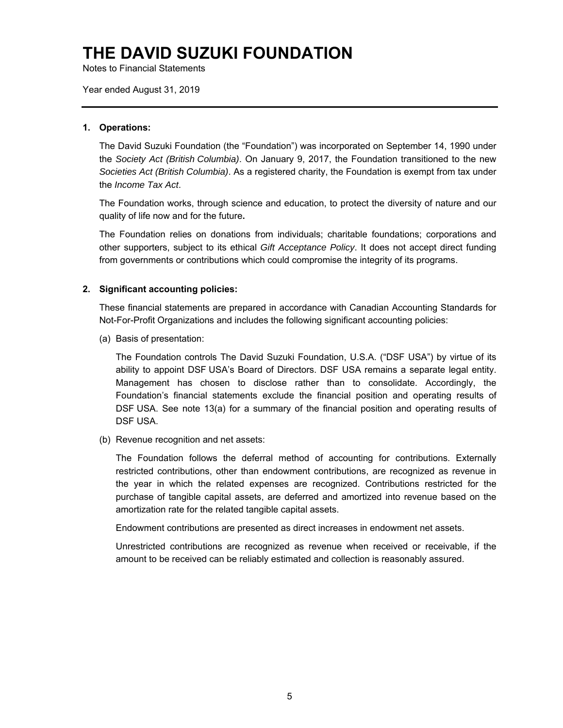Notes to Financial Statements

Year ended August 31, 2019

#### **1. Operations:**

The David Suzuki Foundation (the "Foundation") was incorporated on September 14, 1990 under the *Society Act (British Columbia)*. On January 9, 2017, the Foundation transitioned to the new *Societies Act (British Columbia)*. As a registered charity, the Foundation is exempt from tax under the *Income Tax Act*.

The Foundation works, through science and education, to protect the diversity of nature and our quality of life now and for the future**.** 

The Foundation relies on donations from individuals; charitable foundations; corporations and other supporters, subject to its ethical *Gift Acceptance Policy*. It does not accept direct funding from governments or contributions which could compromise the integrity of its programs.

#### **2. Significant accounting policies:**

These financial statements are prepared in accordance with Canadian Accounting Standards for Not-For-Profit Organizations and includes the following significant accounting policies:

(a) Basis of presentation:

The Foundation controls The David Suzuki Foundation, U.S.A. ("DSF USA") by virtue of its ability to appoint DSF USA's Board of Directors. DSF USA remains a separate legal entity. Management has chosen to disclose rather than to consolidate. Accordingly, the Foundation's financial statements exclude the financial position and operating results of DSF USA. See note 13(a) for a summary of the financial position and operating results of DSF USA.

(b) Revenue recognition and net assets:

The Foundation follows the deferral method of accounting for contributions. Externally restricted contributions, other than endowment contributions, are recognized as revenue in the year in which the related expenses are recognized. Contributions restricted for the purchase of tangible capital assets, are deferred and amortized into revenue based on the amortization rate for the related tangible capital assets.

Endowment contributions are presented as direct increases in endowment net assets.

Unrestricted contributions are recognized as revenue when received or receivable, if the amount to be received can be reliably estimated and collection is reasonably assured.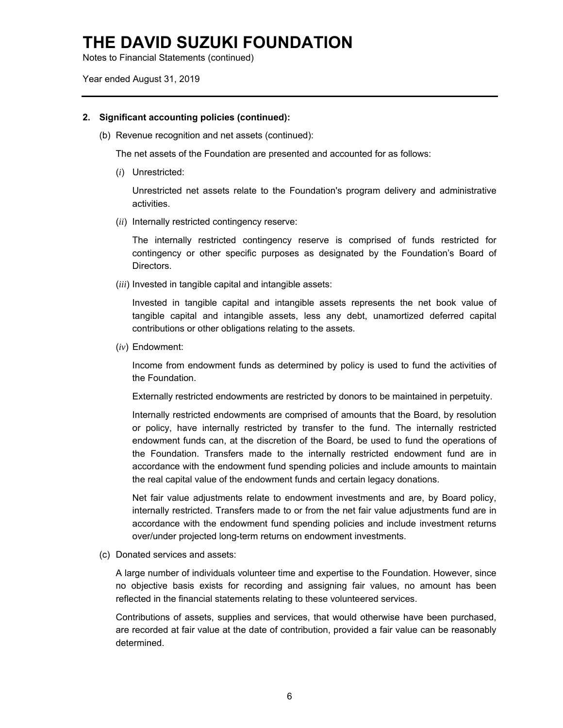Notes to Financial Statements (continued)

Year ended August 31, 2019

### **2. Significant accounting policies (continued):**

(b) Revenue recognition and net assets (continued):

The net assets of the Foundation are presented and accounted for as follows:

(*i*) Unrestricted:

Unrestricted net assets relate to the Foundation's program delivery and administrative activities.

(*ii*) Internally restricted contingency reserve:

The internally restricted contingency reserve is comprised of funds restricted for contingency or other specific purposes as designated by the Foundation's Board of Directors.

(*iii*) Invested in tangible capital and intangible assets:

Invested in tangible capital and intangible assets represents the net book value of tangible capital and intangible assets, less any debt, unamortized deferred capital contributions or other obligations relating to the assets.

(*iv*) Endowment:

Income from endowment funds as determined by policy is used to fund the activities of the Foundation.

Externally restricted endowments are restricted by donors to be maintained in perpetuity.

Internally restricted endowments are comprised of amounts that the Board, by resolution or policy, have internally restricted by transfer to the fund. The internally restricted endowment funds can, at the discretion of the Board, be used to fund the operations of the Foundation. Transfers made to the internally restricted endowment fund are in accordance with the endowment fund spending policies and include amounts to maintain the real capital value of the endowment funds and certain legacy donations.

Net fair value adjustments relate to endowment investments and are, by Board policy, internally restricted. Transfers made to or from the net fair value adjustments fund are in accordance with the endowment fund spending policies and include investment returns over/under projected long-term returns on endowment investments.

(c) Donated services and assets:

A large number of individuals volunteer time and expertise to the Foundation. However, since no objective basis exists for recording and assigning fair values, no amount has been reflected in the financial statements relating to these volunteered services.

Contributions of assets, supplies and services, that would otherwise have been purchased, are recorded at fair value at the date of contribution, provided a fair value can be reasonably determined.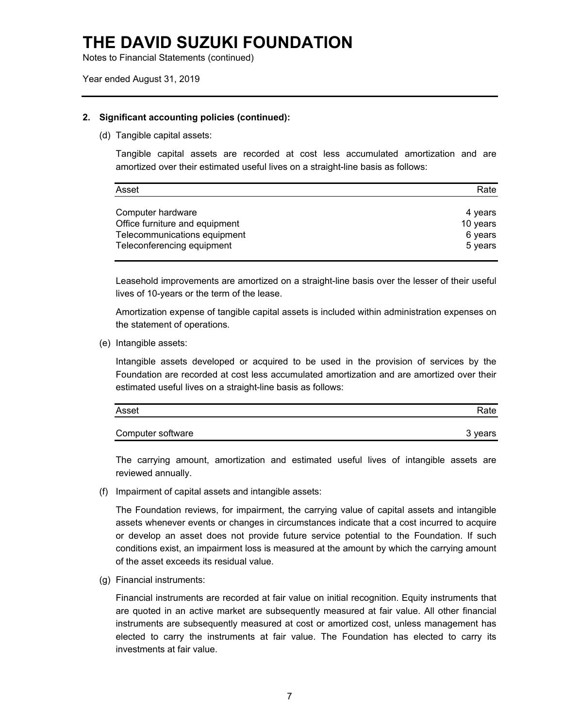Notes to Financial Statements (continued)

Year ended August 31, 2019

### **2. Significant accounting policies (continued):**

(d) Tangible capital assets:

Tangible capital assets are recorded at cost less accumulated amortization and are amortized over their estimated useful lives on a straight-line basis as follows:

| Asset                          | Rate     |
|--------------------------------|----------|
| Computer hardware              | 4 years  |
| Office furniture and equipment | 10 years |
| Telecommunications equipment   | 6 years  |
| Teleconferencing equipment     | 5 years  |

Leasehold improvements are amortized on a straight-line basis over the lesser of their useful lives of 10-years or the term of the lease.

Amortization expense of tangible capital assets is included within administration expenses on the statement of operations.

(e) Intangible assets:

Intangible assets developed or acquired to be used in the provision of services by the Foundation are recorded at cost less accumulated amortization and are amortized over their estimated useful lives on a straight-line basis as follows:

| Asset             | Rate    |
|-------------------|---------|
| Computer software | 3 vears |

The carrying amount, amortization and estimated useful lives of intangible assets are reviewed annually.

(f) Impairment of capital assets and intangible assets:

The Foundation reviews, for impairment, the carrying value of capital assets and intangible assets whenever events or changes in circumstances indicate that a cost incurred to acquire or develop an asset does not provide future service potential to the Foundation. If such conditions exist, an impairment loss is measured at the amount by which the carrying amount of the asset exceeds its residual value.

(g) Financial instruments:

Financial instruments are recorded at fair value on initial recognition. Equity instruments that are quoted in an active market are subsequently measured at fair value. All other financial instruments are subsequently measured at cost or amortized cost, unless management has elected to carry the instruments at fair value. The Foundation has elected to carry its investments at fair value.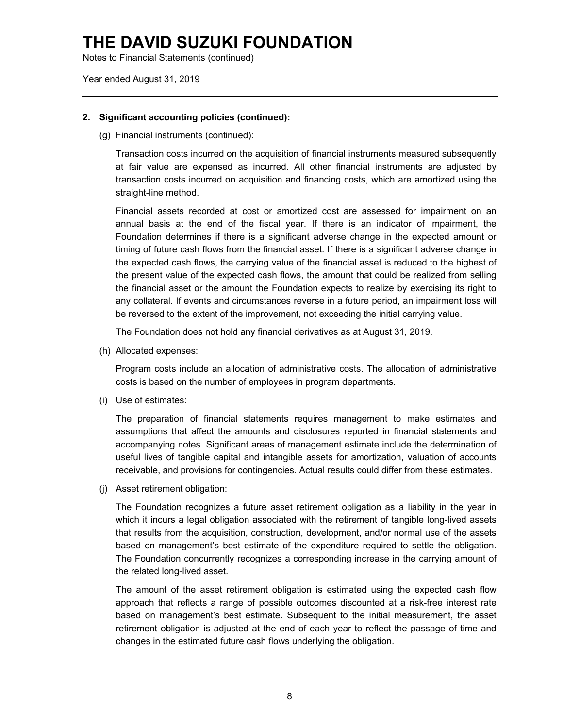Notes to Financial Statements (continued)

Year ended August 31, 2019

### **2. Significant accounting policies (continued):**

(g) Financial instruments (continued):

Transaction costs incurred on the acquisition of financial instruments measured subsequently at fair value are expensed as incurred. All other financial instruments are adjusted by transaction costs incurred on acquisition and financing costs, which are amortized using the straight-line method.

Financial assets recorded at cost or amortized cost are assessed for impairment on an annual basis at the end of the fiscal year. If there is an indicator of impairment, the Foundation determines if there is a significant adverse change in the expected amount or timing of future cash flows from the financial asset. If there is a significant adverse change in the expected cash flows, the carrying value of the financial asset is reduced to the highest of the present value of the expected cash flows, the amount that could be realized from selling the financial asset or the amount the Foundation expects to realize by exercising its right to any collateral. If events and circumstances reverse in a future period, an impairment loss will be reversed to the extent of the improvement, not exceeding the initial carrying value.

The Foundation does not hold any financial derivatives as at August 31, 2019.

(h) Allocated expenses:

Program costs include an allocation of administrative costs. The allocation of administrative costs is based on the number of employees in program departments.

(i) Use of estimates:

The preparation of financial statements requires management to make estimates and assumptions that affect the amounts and disclosures reported in financial statements and accompanying notes. Significant areas of management estimate include the determination of useful lives of tangible capital and intangible assets for amortization, valuation of accounts receivable, and provisions for contingencies. Actual results could differ from these estimates.

(j) Asset retirement obligation:

The Foundation recognizes a future asset retirement obligation as a liability in the year in which it incurs a legal obligation associated with the retirement of tangible long-lived assets that results from the acquisition, construction, development, and/or normal use of the assets based on management's best estimate of the expenditure required to settle the obligation. The Foundation concurrently recognizes a corresponding increase in the carrying amount of the related long-lived asset.

The amount of the asset retirement obligation is estimated using the expected cash flow approach that reflects a range of possible outcomes discounted at a risk-free interest rate based on management's best estimate. Subsequent to the initial measurement, the asset retirement obligation is adjusted at the end of each year to reflect the passage of time and changes in the estimated future cash flows underlying the obligation.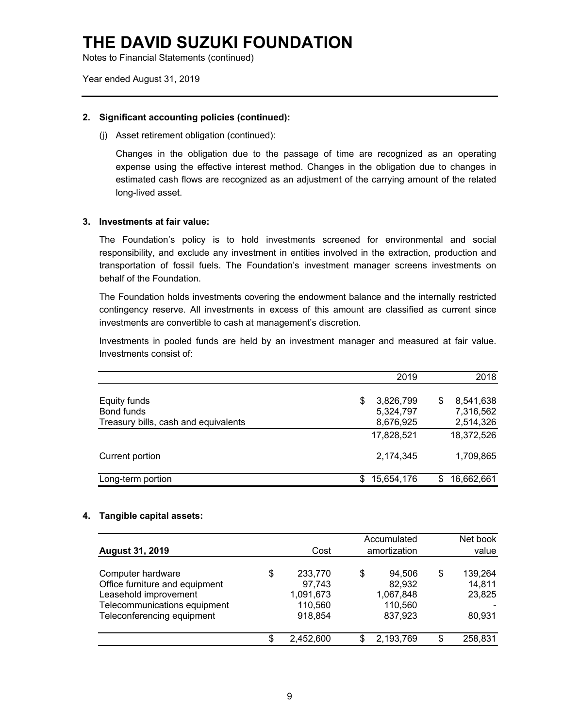Notes to Financial Statements (continued)

Year ended August 31, 2019

### **2. Significant accounting policies (continued):**

(j) Asset retirement obligation (continued):

Changes in the obligation due to the passage of time are recognized as an operating expense using the effective interest method. Changes in the obligation due to changes in estimated cash flows are recognized as an adjustment of the carrying amount of the related long-lived asset.

### **3. Investments at fair value:**

The Foundation's policy is to hold investments screened for environmental and social responsibility, and exclude any investment in entities involved in the extraction, production and transportation of fossil fuels. The Foundation's investment manager screens investments on behalf of the Foundation.

The Foundation holds investments covering the endowment balance and the internally restricted contingency reserve. All investments in excess of this amount are classified as current since investments are convertible to cash at management's discretion.

Investments in pooled funds are held by an investment manager and measured at fair value. Investments consist of:

|                                      |    | 2019       |    | 2018       |
|--------------------------------------|----|------------|----|------------|
| Equity funds                         | \$ | 3,826,799  | \$ | 8,541,638  |
| Bond funds                           |    | 5,324,797  |    | 7,316,562  |
| Treasury bills, cash and equivalents |    | 8,676,925  |    | 2,514,326  |
|                                      |    | 17,828,521 |    | 18,372,526 |
| Current portion                      |    | 2,174,345  |    | 1,709,865  |
| Long-term portion                    | S  | 15,654,176 | S  | 16,662,661 |

#### **4. Tangible capital assets:**

| <b>August 31, 2019</b>                                                                                                                     | Cost                                                       | Accumulated<br>amortization                               | Net book<br>value                           |
|--------------------------------------------------------------------------------------------------------------------------------------------|------------------------------------------------------------|-----------------------------------------------------------|---------------------------------------------|
| Computer hardware<br>Office furniture and equipment<br>Leasehold improvement<br>Telecommunications equipment<br>Teleconferencing equipment | \$<br>233,770<br>97,743<br>1,091,673<br>110,560<br>918,854 | \$<br>94,506<br>82,932<br>1,067,848<br>110,560<br>837,923 | \$<br>139,264<br>14,811<br>23,825<br>80,931 |
|                                                                                                                                            | \$<br>2,452,600                                            | 2,193,769                                                 | \$<br>258,831                               |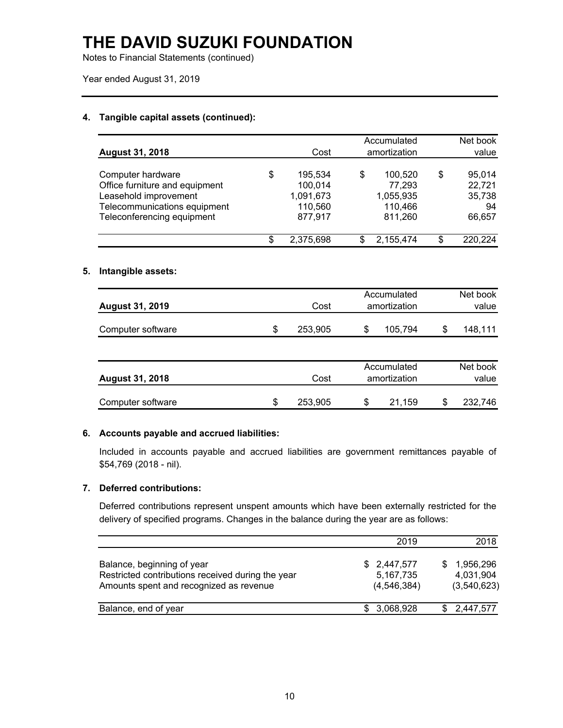Notes to Financial Statements (continued)

Year ended August 31, 2019

### **4. Tangible capital assets (continued):**

| <b>August 31, 2018</b>                                                                                                                     | Cost                                                        |   | Accumulated<br>amortization                          | Net book<br>value                                |
|--------------------------------------------------------------------------------------------------------------------------------------------|-------------------------------------------------------------|---|------------------------------------------------------|--------------------------------------------------|
| Computer hardware<br>Office furniture and equipment<br>Leasehold improvement<br>Telecommunications equipment<br>Teleconferencing equipment | \$<br>195,534<br>100,014<br>1,091,673<br>110,560<br>877,917 | S | 100,520<br>77,293<br>1,055,935<br>110,466<br>811,260 | \$<br>95,014<br>22,721<br>35,738<br>94<br>66,657 |
|                                                                                                                                            | \$<br>2,375,698                                             |   | 2,155,474                                            | \$<br>220,224                                    |

### **5. Intangible assets:**

| <b>August 31, 2019</b> | Accumulated<br>amortization<br>Cost |  |         | Net book<br>value |
|------------------------|-------------------------------------|--|---------|-------------------|
| Computer software      | 253.905                             |  | 105.794 | 148.111           |

| <b>August 31, 2018</b> | Cost    |   | Accumulated<br>amortization | Net book<br>value |
|------------------------|---------|---|-----------------------------|-------------------|
| Computer software      | 253,905 | S | 21.159                      | 232,746           |

### **6. Accounts payable and accrued liabilities:**

Included in accounts payable and accrued liabilities are government remittances payable of \$54,769 (2018 - nil).

### **7. Deferred contributions:**

Deferred contributions represent unspent amounts which have been externally restricted for the delivery of specified programs. Changes in the balance during the year are as follows:

|                                                                                                                            | 2019                                      | 2018                                  |
|----------------------------------------------------------------------------------------------------------------------------|-------------------------------------------|---------------------------------------|
| Balance, beginning of year<br>Restricted contributions received during the year<br>Amounts spent and recognized as revenue | \$2,447,577<br>5,167,735<br>(4, 546, 384) | 1,956,296<br>4,031,904<br>(3,540,623) |
| Balance, end of year                                                                                                       | \$3,068,928                               | 2,447,577                             |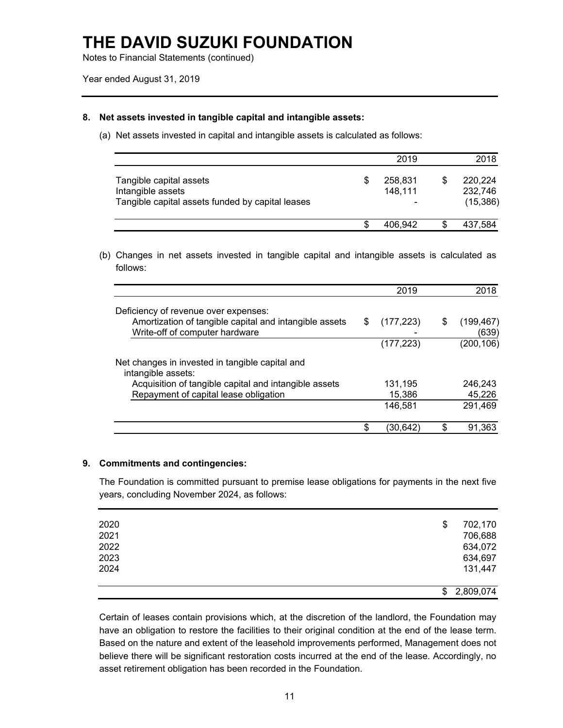Notes to Financial Statements (continued)

### **8. Net assets invested in tangible capital and intangible assets:**

(a) Net assets invested in capital and intangible assets is calculated as follows:

|                                                                                                  | 2019               | 2018                            |
|--------------------------------------------------------------------------------------------------|--------------------|---------------------------------|
| Tangible capital assets<br>Intangible assets<br>Tangible capital assets funded by capital leases | 258,831<br>148,111 | 220.224<br>232,746<br>(15, 386) |
|                                                                                                  | 406.942            | 437,584                         |

(b) Changes in net assets invested in tangible capital and intangible assets is calculated as follows:

|                                                                                          |    | 2019       | 2018                      |
|------------------------------------------------------------------------------------------|----|------------|---------------------------|
| Deficiency of revenue over expenses:                                                     |    |            |                           |
| Amortization of tangible capital and intangible assets<br>Write-off of computer hardware | S  | (177, 223) | \$<br>(199, 467)<br>(639) |
|                                                                                          |    | (177, 223) | (200, 106)                |
| Net changes in invested in tangible capital and<br>intangible assets:                    |    |            |                           |
| Acquisition of tangible capital and intangible assets                                    |    | 131,195    | 246,243                   |
| Repayment of capital lease obligation                                                    |    | 15,386     | 45,226                    |
|                                                                                          |    | 146,581    | 291,469                   |
|                                                                                          | £. | (30,642)   | \$<br>91,363              |

#### **9. Commitments and contingencies:**

The Foundation is committed pursuant to premise lease obligations for payments in the next five years, concluding November 2024, as follows:

| 2020 | \$<br>702,170   |
|------|-----------------|
| 2021 | 706,688         |
| 2022 | 634,072         |
| 2023 | 634,697         |
| 2024 | 131,447         |
|      |                 |
|      | \$<br>2,809,074 |

Certain of leases contain provisions which, at the discretion of the landlord, the Foundation may have an obligation to restore the facilities to their original condition at the end of the lease term. Based on the nature and extent of the leasehold improvements performed, Management does not believe there will be significant restoration costs incurred at the end of the lease. Accordingly, no asset retirement obligation has been recorded in the Foundation.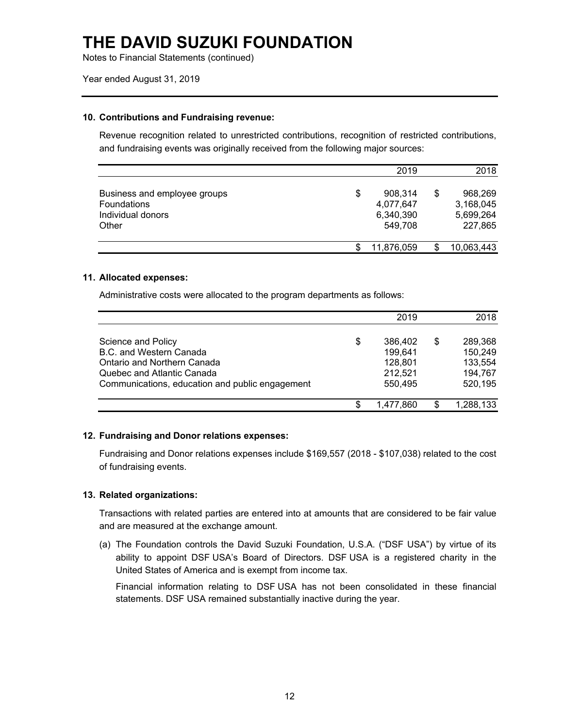Notes to Financial Statements (continued)

#### Year ended August 31, 2019

#### **10. Contributions and Fundraising revenue:**

Revenue recognition related to unrestricted contributions, recognition of restricted contributions, and fundraising events was originally received from the following major sources:

|                                                                           | 2019                                               |   | 2018                                         |
|---------------------------------------------------------------------------|----------------------------------------------------|---|----------------------------------------------|
| Business and employee groups<br>Foundations<br>Individual donors<br>Other | \$<br>908,314<br>4,077,647<br>6,340,390<br>549,708 | S | 968,269<br>3,168,045<br>5,699,264<br>227,865 |
|                                                                           | 11,876,059                                         |   | 10,063,443                                   |

#### **11. Allocated expenses:**

Administrative costs were allocated to the program departments as follows:

|                                                 |    | 2019      | 2018          |
|-------------------------------------------------|----|-----------|---------------|
| Science and Policy                              | \$ | 386,402   | \$<br>289,368 |
| B.C. and Western Canada                         |    | 199,641   | 150,249       |
| Ontario and Northern Canada                     |    | 128,801   | 133,554       |
| Quebec and Atlantic Canada                      |    | 212,521   | 194,767       |
| Communications, education and public engagement |    | 550.495   | 520,195       |
|                                                 | S  | 1,477,860 | 1,288,133     |

#### **12. Fundraising and Donor relations expenses:**

Fundraising and Donor relations expenses include \$169,557 (2018 - \$107,038) related to the cost of fundraising events.

#### **13. Related organizations:**

Transactions with related parties are entered into at amounts that are considered to be fair value and are measured at the exchange amount.

(a) The Foundation controls the David Suzuki Foundation, U.S.A. ("DSF USA") by virtue of its ability to appoint DSF USA's Board of Directors. DSF USA is a registered charity in the United States of America and is exempt from income tax.

Financial information relating to DSF USA has not been consolidated in these financial statements. DSF USA remained substantially inactive during the year.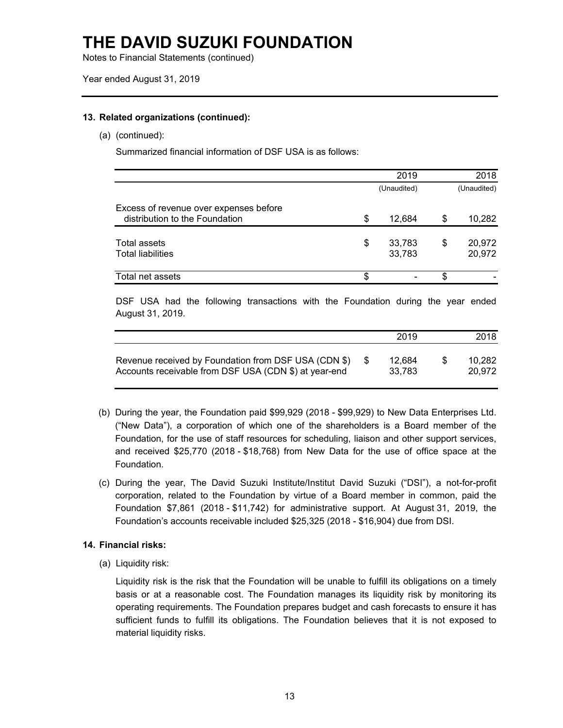Notes to Financial Statements (continued)

### **13. Related organizations (continued):**

(a) (continued):

Summarized financial information of DSF USA is as follows:

|                                                                          | 2019                   |    | 2018             |
|--------------------------------------------------------------------------|------------------------|----|------------------|
|                                                                          | (Unaudited)            |    | (Unaudited)      |
| Excess of revenue over expenses before<br>distribution to the Foundation | \$<br>12,684           | \$ | 10,282           |
| Total assets<br><b>Total liabilities</b>                                 | \$<br>33,783<br>33,783 | \$ | 20,972<br>20,972 |
| Total net assets                                                         |                        | S  |                  |

DSF USA had the following transactions with the Foundation during the year ended August 31, 2019.

|                                                                                                               | 2019             |    | 2018             |
|---------------------------------------------------------------------------------------------------------------|------------------|----|------------------|
| Revenue received by Foundation from DSF USA (CDN \$)<br>Accounts receivable from DSF USA (CDN \$) at year-end | 12.684<br>33.783 | -S | 10.282<br>20.972 |

- (b) During the year, the Foundation paid \$99,929 (2018 \$99,929) to New Data Enterprises Ltd. ("New Data"), a corporation of which one of the shareholders is a Board member of the Foundation, for the use of staff resources for scheduling, liaison and other support services, and received \$25,770 (2018 - \$18,768) from New Data for the use of office space at the Foundation.
- (c) During the year, The David Suzuki Institute/Institut David Suzuki ("DSI"), a not-for-profit corporation, related to the Foundation by virtue of a Board member in common, paid the Foundation \$7,861 (2018 - \$11,742) for administrative support. At August 31, 2019, the Foundation's accounts receivable included \$25,325 (2018 - \$16,904) due from DSI.

### **14. Financial risks:**

(a) Liquidity risk:

Liquidity risk is the risk that the Foundation will be unable to fulfill its obligations on a timely basis or at a reasonable cost. The Foundation manages its liquidity risk by monitoring its operating requirements. The Foundation prepares budget and cash forecasts to ensure it has sufficient funds to fulfill its obligations. The Foundation believes that it is not exposed to material liquidity risks.